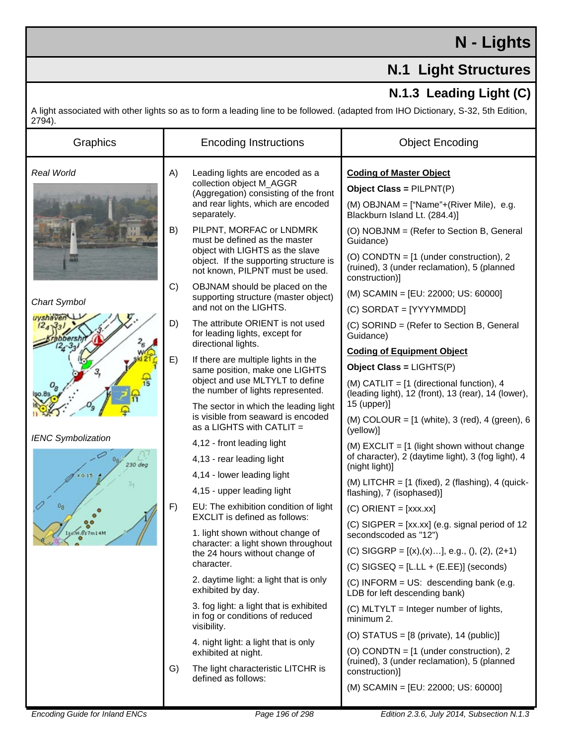## **N - Lights**

## **N.1 Light Structures**

## **N.1.3 Leading Light (C)**

A light associated with other lights so as to form a leading line to be followed. (adapted from IHO Dictionary, S-32, 5th Edition,  $2794$ ).

| Graphics                  | <b>Encoding Instructions</b> |                                                                                                                                                                                                                    | <b>Object Encoding</b>                                                                                                                                                                                                            |
|---------------------------|------------------------------|--------------------------------------------------------------------------------------------------------------------------------------------------------------------------------------------------------------------|-----------------------------------------------------------------------------------------------------------------------------------------------------------------------------------------------------------------------------------|
| Real World                | A)                           | Leading lights are encoded as a<br>collection object M_AGGR<br>(Aggregation) consisting of the front<br>and rear lights, which are encoded<br>separately.                                                          | <b>Coding of Master Object</b><br>Object Class = $PILPNT(P)$<br>(M) OBJNAM = ["Name"+(River Mile), e.g.<br>Blackburn Island Lt. (284.4)]                                                                                          |
|                           | B)                           | PILPNT, MORFAC or LNDMRK<br>must be defined as the master<br>object with LIGHTS as the slave<br>object. If the supporting structure is<br>not known, PILPNT must be used.                                          | (O) NOBJNM = (Refer to Section B, General<br>Guidance)<br>(O) CONDTN = [1 (under construction), 2<br>(ruined), 3 (under reclamation), 5 (planned<br>construction)]                                                                |
| Chart Symbol              | C)                           | OBJNAM should be placed on the<br>supporting structure (master object)<br>and not on the LIGHTS.                                                                                                                   | (M) SCAMIN = [EU: 22000; US: 60000]<br>(C) SORDAT = [YYYYMMDD]                                                                                                                                                                    |
| uyshaven                  | D)                           | The attribute ORIENT is not used<br>for leading lights, except for<br>directional lights.                                                                                                                          | (C) SORIND = (Refer to Section B, General<br>Guidance)                                                                                                                                                                            |
|                           | E)                           | If there are multiple lights in the                                                                                                                                                                                | <b>Coding of Equipment Object</b>                                                                                                                                                                                                 |
|                           |                              | same position, make one LIGHTS<br>object and use MLTYLT to define<br>the number of lights represented.<br>The sector in which the leading light<br>is visible from seaward is encoded<br>as a LIGHTS with CATLIT = | Object Class = $LIGHTS(P)$                                                                                                                                                                                                        |
|                           |                              |                                                                                                                                                                                                                    | (M) CATLIT = $[1]$ (directional function), 4<br>(leading light), 12 (front), 13 (rear), 14 (lower),                                                                                                                               |
|                           |                              |                                                                                                                                                                                                                    | 15 (upper)]<br>(M) COLOUR = $[1 \text{ (white)}$ , 3 (red), 4 (green), 6<br>(yellow)]                                                                                                                                             |
| <b>IENC Symbolization</b> | F)                           | 4,12 - front leading light                                                                                                                                                                                         | (M) $EXCLIT = [1$ (light shown without change<br>of character), 2 (daytime light), 3 (fog light), 4<br>(night light)]<br>(M) LITCHR = $[1 \text{ (fixed)}, 2 \text{ (flashing)}, 4 \text{ (quick-)}$<br>flashing), 7 (isophased)] |
| 230 deg                   |                              | 4,13 - rear leading light                                                                                                                                                                                          |                                                                                                                                                                                                                                   |
| <b>KG 15</b>              |                              | 4,14 - lower leading light                                                                                                                                                                                         |                                                                                                                                                                                                                                   |
|                           |                              | 4,15 - upper leading light                                                                                                                                                                                         |                                                                                                                                                                                                                                   |
|                           |                              | EU: The exhibition condition of light<br><b>EXCLIT</b> is defined as follows:                                                                                                                                      | $(C)$ ORIENT = [xxx.xx]                                                                                                                                                                                                           |
| V.S's 7m14M               |                              | 1. light shown without change of<br>character: a light shown throughout<br>the 24 hours without change of<br>character.                                                                                            | (C) SIGPER = $[xx.xx]$ (e.g. signal period of 12<br>secondscoded as "12")                                                                                                                                                         |
|                           |                              |                                                                                                                                                                                                                    | (C) SIGGRP = $[(x),(x)]$ , e.g., $(), (2), (2+1)$                                                                                                                                                                                 |
|                           | G)                           |                                                                                                                                                                                                                    | $(C)$ SIGSEQ = [L.LL + (E.EE)] (seconds)                                                                                                                                                                                          |
|                           |                              | 2. daytime light: a light that is only<br>exhibited by day.                                                                                                                                                        | (C) INFORM = US: descending bank (e.g.<br>LDB for left descending bank)                                                                                                                                                           |
|                           |                              | 3. fog light: a light that is exhibited<br>in fog or conditions of reduced<br>visibility.                                                                                                                          | (C) MLTYLT = Integer number of lights,<br>minimum 2.                                                                                                                                                                              |
|                           |                              | 4. night light: a light that is only<br>exhibited at night.<br>The light characteristic LITCHR is<br>defined as follows:                                                                                           | (O) STATUS = $[8 \text{ (private)}$ , 14 (public)]                                                                                                                                                                                |
|                           |                              |                                                                                                                                                                                                                    | (O) CONDTN = [1 (under construction), 2                                                                                                                                                                                           |
|                           |                              |                                                                                                                                                                                                                    | (ruined), 3 (under reclamation), 5 (planned<br>construction)]                                                                                                                                                                     |
|                           |                              |                                                                                                                                                                                                                    | (M) SCAMIN = [EU: 22000; US: 60000]                                                                                                                                                                                               |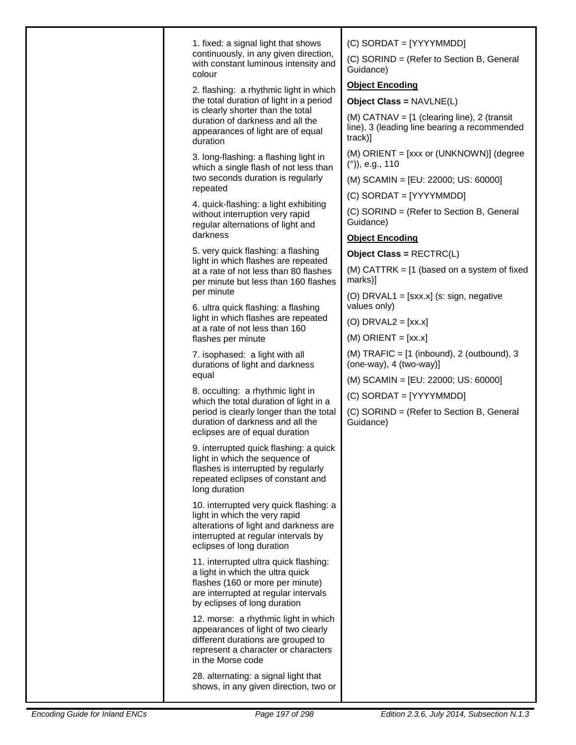|  | 1. fixed: a signal light that shows<br>continuously, in any given direction,<br>with constant luminous intensity and<br>colour                                                        | $(C)$ SORDAT = [YYYYMMDD]<br>(C) SORIND = (Refer to Section B, General<br>Guidance)                      |
|--|---------------------------------------------------------------------------------------------------------------------------------------------------------------------------------------|----------------------------------------------------------------------------------------------------------|
|  | 2. flashing: a rhythmic light in which<br>the total duration of light in a period                                                                                                     | <b>Object Encoding</b><br>Object Class = NAVLNE(L)                                                       |
|  | is clearly shorter than the total<br>duration of darkness and all the<br>appearances of light are of equal<br>duration                                                                | (M) CATNAV = $[1$ (clearing line), 2 (transit<br>line), 3 (leading line bearing a recommended<br>track)] |
|  | 3. long-flashing: a flashing light in<br>which a single flash of not less than<br>two seconds duration is regularly<br>repeated                                                       | (M) ORIENT = [xxx or (UNKNOWN)] (degree<br>$(°)$ , e.g., 110                                             |
|  |                                                                                                                                                                                       | (M) SCAMIN = [EU: 22000; US: 60000]                                                                      |
|  | 4. quick-flashing: a light exhibiting                                                                                                                                                 | (C) SORDAT = [YYYYMMDD]                                                                                  |
|  | without interruption very rapid<br>regular alternations of light and                                                                                                                  | (C) SORIND = (Refer to Section B, General<br>Guidance)                                                   |
|  | darkness                                                                                                                                                                              | <b>Object Encoding</b>                                                                                   |
|  | 5. very quick flashing: a flashing<br>light in which flashes are repeated                                                                                                             | Object Class = RECTRC(L)                                                                                 |
|  | at a rate of not less than 80 flashes<br>per minute but less than 160 flashes                                                                                                         | (M) CATTRK = $[1$ (based on a system of fixed<br>marks)]                                                 |
|  | per minute<br>6. ultra quick flashing: a flashing                                                                                                                                     | (O) DRVAL1 = $[sxx.x]$ (s: sign, negative<br>values only)                                                |
|  | light in which flashes are repeated<br>at a rate of not less than 160                                                                                                                 | (O) DRVAL2 = $[xx.x]$                                                                                    |
|  | flashes per minute                                                                                                                                                                    | $(M)$ ORIENT = [xx.x]                                                                                    |
|  | 7. isophased: a light with all<br>durations of light and darkness                                                                                                                     | (M) TRAFIC = $[1 \text{ (inbound)}$ , 2 (outbound), 3<br>$(one-way), 4 (two-way)$                        |
|  | equal                                                                                                                                                                                 | (M) SCAMIN = [EU: 22000; US: 60000]                                                                      |
|  | 8. occulting: a rhythmic light in<br>which the total duration of light in a                                                                                                           | (C) SORDAT = [YYYYMMDD]                                                                                  |
|  | period is clearly longer than the total<br>duration of darkness and all the<br>eclipses are of equal duration                                                                         | (C) SORIND = (Refer to Section B, General<br>Guidance)                                                   |
|  | 9. interrupted quick flashing: a quick<br>light in which the sequence of<br>flashes is interrupted by regularly<br>repeated eclipses of constant and<br>long duration                 |                                                                                                          |
|  | 10. interrupted very quick flashing: a<br>light in which the very rapid<br>alterations of light and darkness are<br>interrupted at regular intervals by<br>eclipses of long duration  |                                                                                                          |
|  | 11. interrupted ultra quick flashing:<br>a light in which the ultra quick<br>flashes (160 or more per minute)<br>are interrupted at regular intervals<br>by eclipses of long duration |                                                                                                          |
|  | 12. morse: a rhythmic light in which<br>appearances of light of two clearly<br>different durations are grouped to<br>represent a character or characters<br>in the Morse code         |                                                                                                          |
|  | 28. alternating: a signal light that<br>shows, in any given direction, two or                                                                                                         |                                                                                                          |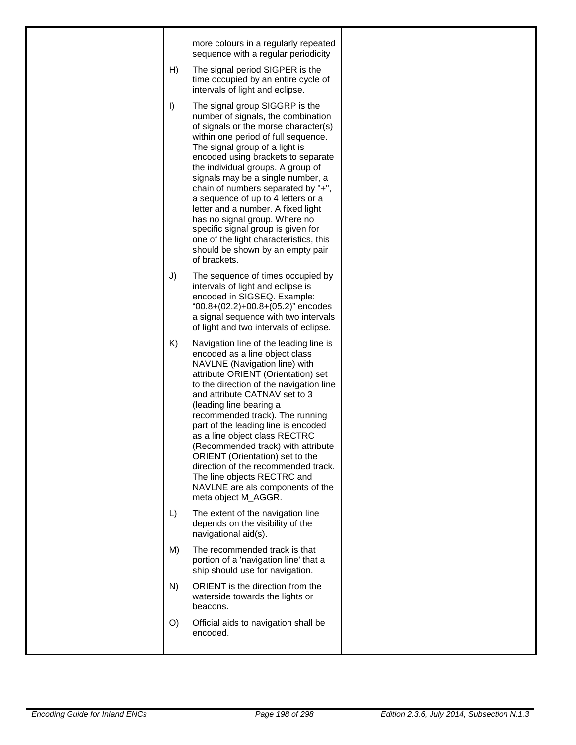| more colours in a regularly repeated<br>sequence with a regular periodicity<br>The signal period SIGPER is the<br>H)<br>time occupied by an entire cycle of<br>intervals of light and eclipse.<br>$\vert$<br>The signal group SIGGRP is the<br>number of signals, the combination<br>of signals or the morse character(s)<br>within one period of full sequence.<br>The signal group of a light is<br>encoded using brackets to separate<br>the individual groups. A group of<br>signals may be a single number, a<br>chain of numbers separated by "+",<br>a sequence of up to 4 letters or a<br>letter and a number. A fixed light<br>has no signal group. Where no<br>specific signal group is given for<br>one of the light characteristics, this<br>should be shown by an empty pair<br>of brackets.<br>J)<br>The sequence of times occupied by<br>intervals of light and eclipse is<br>encoded in SIGSEQ. Example:<br>"00.8+ $(02.2)$ +00.8+ $(05.2)$ " encodes<br>a signal sequence with two intervals<br>of light and two intervals of eclipse.<br>K)<br>Navigation line of the leading line is<br>encoded as a line object class<br>NAVLNE (Navigation line) with<br>attribute ORIENT (Orientation) set<br>to the direction of the navigation line<br>and attribute CATNAV set to 3<br>(leading line bearing a<br>recommended track). The running<br>part of the leading line is encoded<br>as a line object class RECTRC<br>(Recommended track) with attribute<br>ORIENT (Orientation) set to the<br>direction of the recommended track.<br>The line objects RECTRC and<br>NAVLNE are als components of the<br>meta object M_AGGR.<br>L)<br>The extent of the navigation line<br>depends on the visibility of the<br>navigational aid(s).<br>M)<br>The recommended track is that<br>portion of a 'navigation line' that a<br>ship should use for navigation.<br>ORIENT is the direction from the<br>N)<br>waterside towards the lights or<br>beacons.<br>O)<br>Official aids to navigation shall be<br>encoded. |  |  |
|---------------------------------------------------------------------------------------------------------------------------------------------------------------------------------------------------------------------------------------------------------------------------------------------------------------------------------------------------------------------------------------------------------------------------------------------------------------------------------------------------------------------------------------------------------------------------------------------------------------------------------------------------------------------------------------------------------------------------------------------------------------------------------------------------------------------------------------------------------------------------------------------------------------------------------------------------------------------------------------------------------------------------------------------------------------------------------------------------------------------------------------------------------------------------------------------------------------------------------------------------------------------------------------------------------------------------------------------------------------------------------------------------------------------------------------------------------------------------------------------------------------------------------------------------------------------------------------------------------------------------------------------------------------------------------------------------------------------------------------------------------------------------------------------------------------------------------------------------------------------------------------------------------------------------------------------------------------------------------------------------------------------------|--|--|
|                                                                                                                                                                                                                                                                                                                                                                                                                                                                                                                                                                                                                                                                                                                                                                                                                                                                                                                                                                                                                                                                                                                                                                                                                                                                                                                                                                                                                                                                                                                                                                                                                                                                                                                                                                                                                                                                                                                                                                                                                           |  |  |
|                                                                                                                                                                                                                                                                                                                                                                                                                                                                                                                                                                                                                                                                                                                                                                                                                                                                                                                                                                                                                                                                                                                                                                                                                                                                                                                                                                                                                                                                                                                                                                                                                                                                                                                                                                                                                                                                                                                                                                                                                           |  |  |
|                                                                                                                                                                                                                                                                                                                                                                                                                                                                                                                                                                                                                                                                                                                                                                                                                                                                                                                                                                                                                                                                                                                                                                                                                                                                                                                                                                                                                                                                                                                                                                                                                                                                                                                                                                                                                                                                                                                                                                                                                           |  |  |
|                                                                                                                                                                                                                                                                                                                                                                                                                                                                                                                                                                                                                                                                                                                                                                                                                                                                                                                                                                                                                                                                                                                                                                                                                                                                                                                                                                                                                                                                                                                                                                                                                                                                                                                                                                                                                                                                                                                                                                                                                           |  |  |
|                                                                                                                                                                                                                                                                                                                                                                                                                                                                                                                                                                                                                                                                                                                                                                                                                                                                                                                                                                                                                                                                                                                                                                                                                                                                                                                                                                                                                                                                                                                                                                                                                                                                                                                                                                                                                                                                                                                                                                                                                           |  |  |
|                                                                                                                                                                                                                                                                                                                                                                                                                                                                                                                                                                                                                                                                                                                                                                                                                                                                                                                                                                                                                                                                                                                                                                                                                                                                                                                                                                                                                                                                                                                                                                                                                                                                                                                                                                                                                                                                                                                                                                                                                           |  |  |
|                                                                                                                                                                                                                                                                                                                                                                                                                                                                                                                                                                                                                                                                                                                                                                                                                                                                                                                                                                                                                                                                                                                                                                                                                                                                                                                                                                                                                                                                                                                                                                                                                                                                                                                                                                                                                                                                                                                                                                                                                           |  |  |
|                                                                                                                                                                                                                                                                                                                                                                                                                                                                                                                                                                                                                                                                                                                                                                                                                                                                                                                                                                                                                                                                                                                                                                                                                                                                                                                                                                                                                                                                                                                                                                                                                                                                                                                                                                                                                                                                                                                                                                                                                           |  |  |
|                                                                                                                                                                                                                                                                                                                                                                                                                                                                                                                                                                                                                                                                                                                                                                                                                                                                                                                                                                                                                                                                                                                                                                                                                                                                                                                                                                                                                                                                                                                                                                                                                                                                                                                                                                                                                                                                                                                                                                                                                           |  |  |